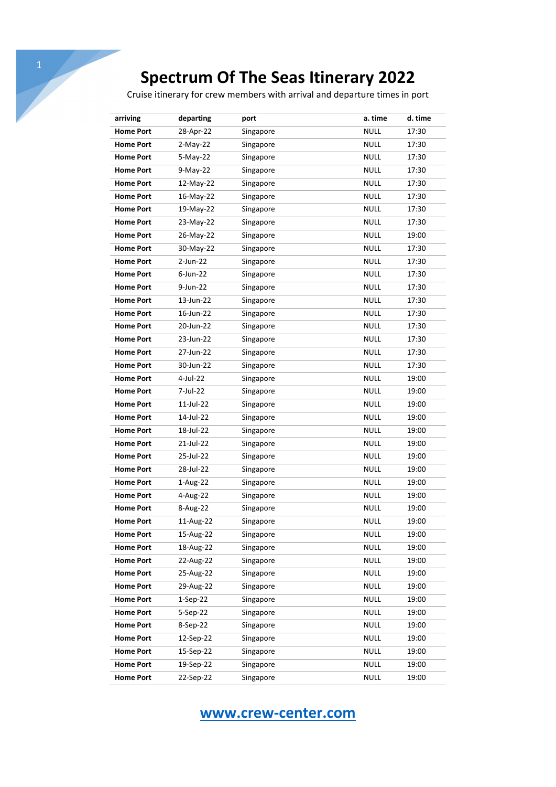## **Spectrum Of The Seas Itinerary 2022**

Cruise itinerary for crew members with arrival and departure times in port

| arriving         | departing  | port      | a. time     | d. time |
|------------------|------------|-----------|-------------|---------|
| <b>Home Port</b> | 28-Apr-22  | Singapore | <b>NULL</b> | 17:30   |
| <b>Home Port</b> | $2-Mav-22$ | Singapore | <b>NULL</b> | 17:30   |
| <b>Home Port</b> | 5-May-22   | Singapore | <b>NULL</b> | 17:30   |
| <b>Home Port</b> | 9-May-22   | Singapore | <b>NULL</b> | 17:30   |
| <b>Home Port</b> | 12-May-22  | Singapore | <b>NULL</b> | 17:30   |
| <b>Home Port</b> | 16-May-22  | Singapore | <b>NULL</b> | 17:30   |
| <b>Home Port</b> | 19-May-22  | Singapore | <b>NULL</b> | 17:30   |
| <b>Home Port</b> | 23-May-22  | Singapore | <b>NULL</b> | 17:30   |
| <b>Home Port</b> | 26-May-22  | Singapore | <b>NULL</b> | 19:00   |
| <b>Home Port</b> | 30-May-22  | Singapore | <b>NULL</b> | 17:30   |
| <b>Home Port</b> | 2-Jun-22   | Singapore | <b>NULL</b> | 17:30   |
| <b>Home Port</b> | 6-Jun-22   | Singapore | <b>NULL</b> | 17:30   |
| <b>Home Port</b> | 9-Jun-22   | Singapore | <b>NULL</b> | 17:30   |
| <b>Home Port</b> | 13-Jun-22  | Singapore | <b>NULL</b> | 17:30   |
| <b>Home Port</b> | 16-Jun-22  | Singapore | <b>NULL</b> | 17:30   |
| <b>Home Port</b> | 20-Jun-22  | Singapore | <b>NULL</b> | 17:30   |
| <b>Home Port</b> | 23-Jun-22  | Singapore | <b>NULL</b> | 17:30   |
| <b>Home Port</b> | 27-Jun-22  | Singapore | <b>NULL</b> | 17:30   |
| <b>Home Port</b> | 30-Jun-22  | Singapore | <b>NULL</b> | 17:30   |
| <b>Home Port</b> | 4-Jul-22   | Singapore | <b>NULL</b> | 19:00   |
| <b>Home Port</b> | 7-Jul-22   | Singapore | <b>NULL</b> | 19:00   |
| <b>Home Port</b> | 11-Jul-22  | Singapore | <b>NULL</b> | 19:00   |
| <b>Home Port</b> | 14-Jul-22  | Singapore | <b>NULL</b> | 19:00   |
| <b>Home Port</b> | 18-Jul-22  | Singapore | <b>NULL</b> | 19:00   |
| <b>Home Port</b> | 21-Jul-22  | Singapore | <b>NULL</b> | 19:00   |
| <b>Home Port</b> | 25-Jul-22  | Singapore | <b>NULL</b> | 19:00   |
| <b>Home Port</b> | 28-Jul-22  | Singapore | <b>NULL</b> | 19:00   |
| <b>Home Port</b> | 1-Aug-22   | Singapore | <b>NULL</b> | 19:00   |
| <b>Home Port</b> | 4-Aug-22   | Singapore | <b>NULL</b> | 19:00   |
| <b>Home Port</b> | 8-Aug-22   | Singapore | <b>NULL</b> | 19:00   |
| <b>Home Port</b> | 11-Aug-22  | Singapore | <b>NULL</b> | 19:00   |
| <b>Home Port</b> | 15-Aug-22  | Singapore | <b>NULL</b> | 19:00   |
| <b>Home Port</b> | 18-Aug-22  | Singapore | <b>NULL</b> | 19:00   |
| <b>Home Port</b> | 22-Aug-22  | Singapore | <b>NULL</b> | 19:00   |
| <b>Home Port</b> | 25-Aug-22  | Singapore | <b>NULL</b> | 19:00   |
| <b>Home Port</b> | 29-Aug-22  | Singapore | <b>NULL</b> | 19:00   |
| <b>Home Port</b> | $1-Sep-22$ | Singapore | <b>NULL</b> | 19:00   |
| <b>Home Port</b> | 5-Sep-22   | Singapore | <b>NULL</b> | 19:00   |
| <b>Home Port</b> | 8-Sep-22   | Singapore | <b>NULL</b> | 19:00   |
| <b>Home Port</b> | 12-Sep-22  | Singapore | <b>NULL</b> | 19:00   |
| <b>Home Port</b> | 15-Sep-22  | Singapore | <b>NULL</b> | 19:00   |
| <b>Home Port</b> | 19-Sep-22  | Singapore | <b>NULL</b> | 19:00   |
| <b>Home Port</b> | 22-Sep-22  | Singapore | <b>NULL</b> | 19:00   |

**www.crew-center.com**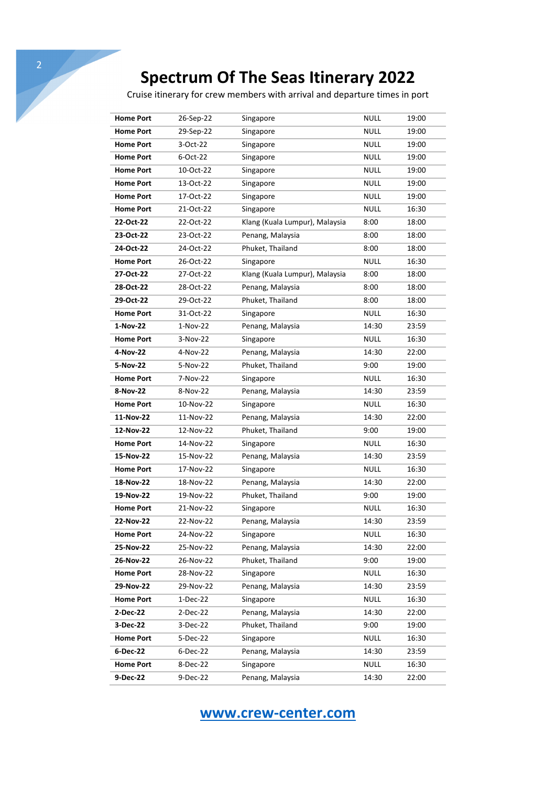## **Spectrum Of The Seas Itinerary 2022**

Cruise itinerary for crew members with arrival and departure times in port

| <b>Home Port</b> | 26-Sep-22  | Singapore                      | <b>NULL</b> | 19:00 |
|------------------|------------|--------------------------------|-------------|-------|
| <b>Home Port</b> | 29-Sep-22  | Singapore                      | <b>NULL</b> | 19:00 |
| <b>Home Port</b> | 3-Oct-22   | Singapore                      | <b>NULL</b> | 19:00 |
| <b>Home Port</b> | 6-Oct-22   | Singapore                      | <b>NULL</b> | 19:00 |
| <b>Home Port</b> | 10-Oct-22  | Singapore                      | <b>NULL</b> | 19:00 |
| <b>Home Port</b> | 13-Oct-22  | Singapore                      | <b>NULL</b> | 19:00 |
| <b>Home Port</b> | 17-Oct-22  | Singapore                      | <b>NULL</b> | 19:00 |
| <b>Home Port</b> | 21-Oct-22  | Singapore                      | <b>NULL</b> | 16:30 |
| 22-Oct-22        | 22-Oct-22  | Klang (Kuala Lumpur), Malaysia | 8:00        | 18:00 |
| 23-Oct-22        | 23-Oct-22  | Penang, Malaysia               | 8:00        | 18:00 |
| 24-Oct-22        | 24-Oct-22  | Phuket, Thailand               | 8:00        | 18:00 |
| <b>Home Port</b> | 26-Oct-22  | Singapore                      | <b>NULL</b> | 16:30 |
| 27-Oct-22        | 27-Oct-22  | Klang (Kuala Lumpur), Malaysia | 8:00        | 18:00 |
| 28-Oct-22        | 28-Oct-22  | Penang, Malaysia               | 8:00        | 18:00 |
| 29-Oct-22        | 29-Oct-22  | Phuket, Thailand               | 8:00        | 18:00 |
| <b>Home Port</b> | 31-Oct-22  | Singapore                      | <b>NULL</b> | 16:30 |
| 1-Nov-22         | 1-Nov-22   | Penang, Malaysia               | 14:30       | 23:59 |
| <b>Home Port</b> | 3-Nov-22   | Singapore                      | <b>NULL</b> | 16:30 |
| 4-Nov-22         | 4-Nov-22   | Penang, Malaysia               | 14:30       | 22:00 |
| 5-Nov-22         | 5-Nov-22   | Phuket, Thailand               | 9:00        | 19:00 |
| <b>Home Port</b> | 7-Nov-22   | Singapore                      | <b>NULL</b> | 16:30 |
| 8-Nov-22         | 8-Nov-22   | Penang, Malaysia               | 14:30       | 23:59 |
| <b>Home Port</b> | 10-Nov-22  | Singapore                      | <b>NULL</b> | 16:30 |
| 11-Nov-22        | 11-Nov-22  | Penang, Malaysia               | 14:30       | 22:00 |
| 12-Nov-22        | 12-Nov-22  | Phuket, Thailand               | 9:00        | 19:00 |
| <b>Home Port</b> | 14-Nov-22  | Singapore                      | <b>NULL</b> | 16:30 |
| 15-Nov-22        | 15-Nov-22  | Penang, Malaysia               | 14:30       | 23:59 |
| <b>Home Port</b> | 17-Nov-22  | Singapore                      | <b>NULL</b> | 16:30 |
| 18-Nov-22        | 18-Nov-22  | Penang, Malaysia               | 14:30       | 22:00 |
| 19-Nov-22        | 19-Nov-22  | Phuket, Thailand               | 9:00        | 19:00 |
| <b>Home Port</b> | 21-Nov-22  | Singapore                      | <b>NULL</b> | 16:30 |
| 22-Nov-22        | 22-Nov-22  | Penang, Malaysia               | 14:30       | 23:59 |
| <b>Home Port</b> | 24-Nov-22  | Singapore                      | <b>NULL</b> | 16:30 |
| 25-Nov-22        | 25-Nov-22  | Penang, Malaysia               | 14:30       | 22:00 |
| 26-Nov-22        | 26-Nov-22  | Phuket, Thailand               | 9:00        | 19:00 |
| <b>Home Port</b> | 28-Nov-22  | Singapore                      | <b>NULL</b> | 16:30 |
| 29-Nov-22        | 29-Nov-22  | Penang, Malaysia               | 14:30       | 23:59 |
| <b>Home Port</b> | $1-Dec-22$ | Singapore                      | <b>NULL</b> | 16:30 |
| 2-Dec-22         | $2-Dec-22$ | Penang, Malaysia               | 14:30       | 22:00 |
| 3-Dec-22         | 3-Dec-22   | Phuket, Thailand               | 9:00        | 19:00 |
| <b>Home Port</b> | 5-Dec-22   | Singapore                      | <b>NULL</b> | 16:30 |
| 6-Dec-22         | 6-Dec-22   | Penang, Malaysia               | 14:30       | 23:59 |
| <b>Home Port</b> | 8-Dec-22   | Singapore                      | <b>NULL</b> | 16:30 |
| 9-Dec-22         | 9-Dec-22   | Penang, Malaysia               | 14:30       | 22:00 |
|                  |            |                                |             |       |

**www.crew-center.com**